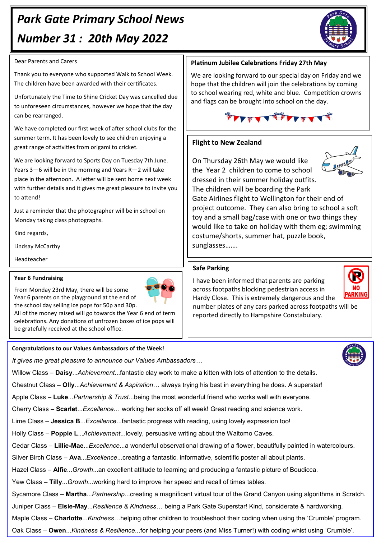# *Park Gate Primary School News Number 31 : 20th May 2022*



### Dear Parents and Carers

Thank you to everyone who supported Walk to School Week. The children have been awarded with their certificates.

Unfortunately the Time to Shine Cricket Day was cancelled due to unforeseen circumstances, however we hope that the day can be rearranged.

We have completed our first week of after school clubs for the summer term. It has been lovely to see children enjoying a great range of activities from origami to cricket.

We are looking forward to Sports Day on Tuesday 7th June. Years 3—6 will be in the morning and Years R—2 will take place in the afternoon. A letter will be sent home next week with further details and it gives me great pleasure to invite you to attend!

Just a reminder that the photographer will be in school on Monday taking class photographs.

Kind regards,

Lindsay McCarthy

Headteacher

## **Year 6 Fundraising**

From Monday 23rd May, there will be some Year 6 parents on the playground at the end of the school day selling ice pops for 50p and 30p.

All of the money raised will go towards the Year 6 end of term celebrations. Any donations of unfrozen boxes of ice pops will be gratefully received at the school office.

#### **Congratulations to our Values Ambassadors of the Week!**

*It gives me great pleasure to announce our Values Ambassadors…*

Willow Class – **Daisy**...*Achievement*...fantastic clay work to make a kitten with lots of attention to the details.

Chestnut Class – **Olly**...*Achievement & Aspiration*… always trying his best in everything he does. A superstar!

Apple Class – **Luke**...*Partnership & Trust*...being the most wonderful friend who works well with everyone.

Cherry Class – **Scarlet**...*Excellence*… working her socks off all week! Great reading and science work.

Lime Class – **Jessica B**...*Excellence*...fantastic progress with reading, using lovely expression too!

Holly Class – **Poppie L**...*Achievement*...lovely, persuasive writing about the Waitomo Caves.

Cedar Class – **Lillie-Mae**...*Excellence*...a wonderful observational drawing of a flower, beautifully painted in watercolours.

Silver Birch Class – **Ava**...*Excellence*...creating a fantastic, informative, scientific poster all about plants.

Hazel Class *–* **Alfie**...*Growth*...an excellent attitude to learning and producing a fantastic picture of Boudicca.

Yew Class – **Tilly**...*Growth*...working hard to improve her speed and recall of times tables.

Sycamore Class – **Martha**...*Partnership*...creating a magnificent virtual tour of the Grand Canyon using algorithms in Scratch.

Juniper Class – **Elsie-May**...*Resilience & Kindness*… being a Park Gate Superstar! Kind, considerate & hardworking.

Maple Class – **Charlotte**...*Kindness*…helping other children to troubleshoot their coding when using the 'Crumble' program.

Oak Class – **Owen**...*Kindness & Resilience*...for helping your peers (and Miss Turner!) with coding whist using 'Crumble'.

# **Platinum Jubilee Celebrations Friday 27th May**

We are looking forward to our special day on Friday and we hope that the children will join the celebrations by coming to school wearing red, white and blue. Competition crowns and flags can be brought into school on the day.



# **Flight to New Zealand**

On Thursday 26th May we would like the Year 2 children to come to school dressed in their summer holiday outfits.



The children will be boarding the Park Gate Airlines flight to Wellington for their end of project outcome. They can also bring to school a soft toy and a small bag/case with one or two things they would like to take on holiday with them eg; swimming costume/shorts, summer hat, puzzle book, sunglasses…….

## **Safe Parking**

I have been informed that parents are parking across footpaths blocking pedestrian access in Hardy Close. This is extremely dangerous and the number plates of any cars parked across footpaths will be reported directly to Hampshire Constabulary.